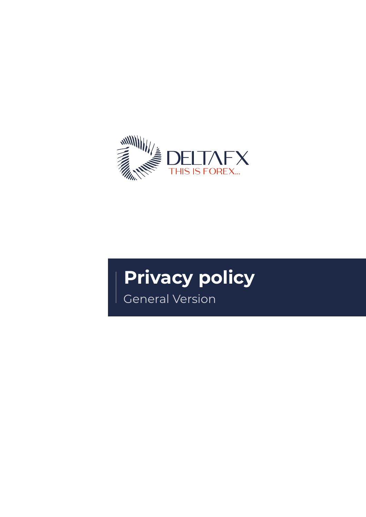

# **Privacy policy**

General Version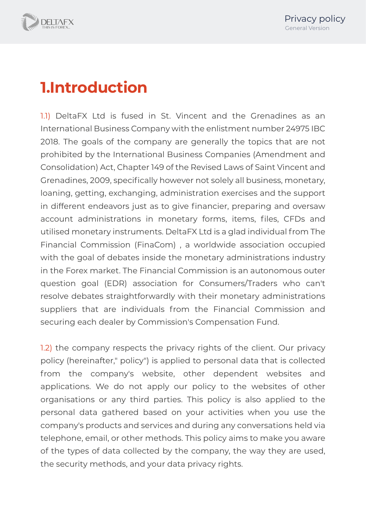

# **1.Introduction**

1.1) DeltaFX Ltd is fused in St. Vincent and the Grenadines as an International Business Company with the enlistment number 24975 IBC 2018. The goals of the company are generally the topics that are not prohibited by the International Business Companies (Amendment and Consolidation) Act, Chapter 149 of the Revised Laws of Saint Vincent and Grenadines, 2009, specifically however not solely all business, monetary, loaning, getting, exchanging, administration exercises and the support in different endeavors just as to give financier, preparing and oversaw account administrations in monetary forms, items, files, CFDs and utilised monetary instruments. DeltaFX Ltd is a glad individual from The Financial Commission (FinaCom) , a worldwide association occupied with the goal of debates inside the monetary administrations industry in the Forex market. The Financial Commission is an autonomous outer question goal (EDR) association for Consumers/Traders who can't resolve debates straightforwardly with their monetary administrations suppliers that are individuals from the Financial Commission and securing each dealer by Commission's Compensation Fund.

1.2) the company respects the privacy rights of the client. Our privacy policy (hereinafter," policy") is applied to personal data that is collected from the company's website, other dependent websites and applications. We do not apply our policy to the websites of other organisations or any third parties. This policy is also applied to the personal data gathered based on your activities when you use the company's products and services and during any conversations held via telephone, email, or other methods. This policy aims to make you aware of the types of data collected by the company, the way they are used, the security methods, and your data privacy rights.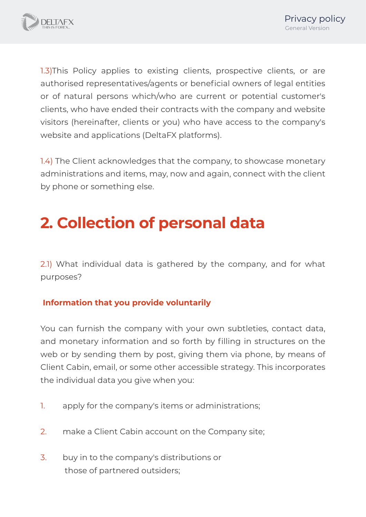

1.3)This Policy applies to existing clients, prospective clients, or are authorised representatives/agents or beneficial owners of legal entities or of natural persons which/who are current or potential customer's clients, who have ended their contracts with the company and website visitors (hereinafter, clients or you) who have access to the company's website and applications (DeltaFX platforms).

1.4) The Client acknowledges that the company, to showcase monetary administrations and items, may, now and again, connect with the client by phone or something else.

# **2. Collection of personal data**

2.1) What individual data is gathered by the company, and for what purposes?

#### **Information that you provide voluntarily**

You can furnish the company with your own subtleties, contact data, and monetary information and so forth by filling in structures on the web or by sending them by post, giving them via phone, by means of Client Cabin, email, or some other accessible strategy. This incorporates the individual data you give when you:

- 1. apply for the company's items or administrations;
- 2. make a Client Cabin account on the Company site;
- 3. buy in to the company's distributions or those of partnered outsiders;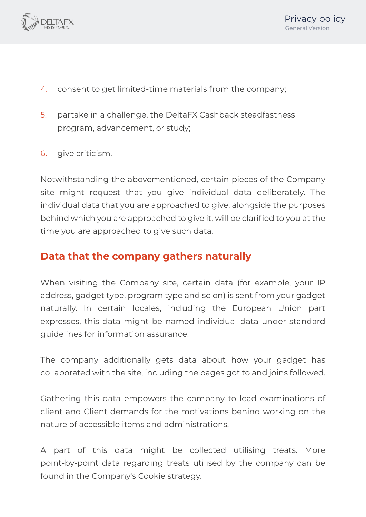

- 4. consent to get limited-time materials from the company;
- 5. partake in a challenge, the DeltaFX Cashback steadfastness program, advancement, or study;
- 6. give criticism.

Notwithstanding the abovementioned, certain pieces of the Company site might request that you give individual data deliberately. The individual data that you are approached to give, alongside the purposes behind which you are approached to give it, will be clarified to you at the time you are approached to give such data.

#### **Data that the company gathers naturally**

When visiting the Company site, certain data (for example, your IP address, gadget type, program type and so on) is sent from your gadget naturally. In certain locales, including the European Union part expresses, this data might be named individual data under standard guidelines for information assurance.

The company additionally gets data about how your gadget has collaborated with the site, including the pages got to and joins followed.

Gathering this data empowers the company to lead examinations of client and Client demands for the motivations behind working on the nature of accessible items and administrations.

A part of this data might be collected utilising treats. More point-by-point data regarding treats utilised by the company can be found in the Company's Cookie strategy.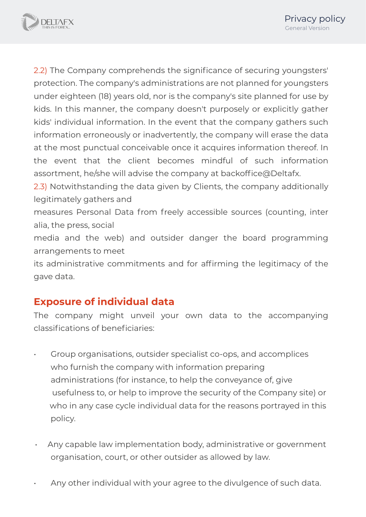

2.2) The Company comprehends the significance of securing youngsters' protection. The company's administrations are not planned for youngsters under eighteen (18) years old, nor is the company's site planned for use by kids. In this manner, the company doesn't purposely or explicitly gather kids' individual information. In the event that the company gathers such information erroneously or inadvertently, the company will erase the data at the most punctual conceivable once it acquires information thereof. In the event that the client becomes mindful of such information assortment, he/she will advise the company at backoffice@Deltafx.

2.3) Notwithstanding the data given by Clients, the company additionally legitimately gathers and

measures Personal Data from freely accessible sources (counting, inter alia, the press, social

media and the web) and outsider danger the board programming arrangements to meet

its administrative commitments and for affirming the legitimacy of the gave data.

#### **Exposure of individual data**

The company might unveil your own data to the accompanying classifications of beneficiaries:

- Group organisations, outsider specialist co-ops, and accomplices who furnish the company with information preparing administrations (for instance, to help the conveyance of, give usefulness to, or help to improve the security of the Company site) or who in any case cycle individual data for the reasons portrayed in this policy.
- Any capable law implementation body, administrative or government organisation, court, or other outsider as allowed by law.
- Any other individual with your agree to the divulgence of such data.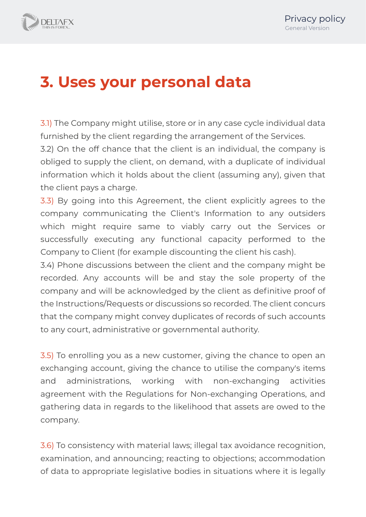

## **3. Uses your personal data**

3.1) The Company might utilise, store or in any case cycle individual data furnished by the client regarding the arrangement of the Services.

3.2) On the off chance that the client is an individual, the company is obliged to supply the client, on demand, with a duplicate of individual information which it holds about the client (assuming any), given that the client pays a charge.

3.3) By going into this Agreement, the client explicitly agrees to the company communicating the Client's Information to any outsiders which might require same to viably carry out the Services or successfully executing any functional capacity performed to the Company to Client (for example discounting the client his cash).

3.4) Phone discussions between the client and the company might be recorded. Any accounts will be and stay the sole property of the company and will be acknowledged by the client as definitive proof of the Instructions/Requests or discussions so recorded. The client concurs that the company might convey duplicates of records of such accounts to any court, administrative or governmental authority.

3.5) To enrolling you as a new customer, giving the chance to open an exchanging account, giving the chance to utilise the company's items and administrations, working with non-exchanging activities agreement with the Regulations for Non-exchanging Operations, and gathering data in regards to the likelihood that assets are owed to the company.

3.6) To consistency with material laws; illegal tax avoidance recognition, examination, and announcing; reacting to objections; accommodation of data to appropriate legislative bodies in situations where it is legally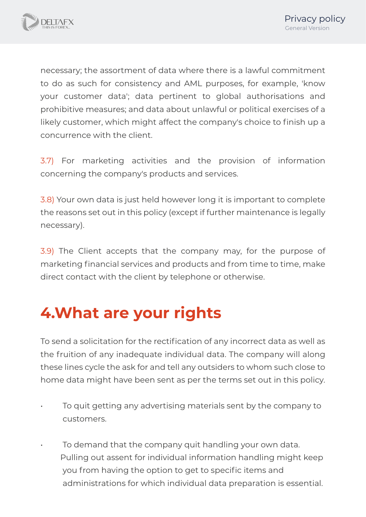

necessary; the assortment of data where there is a lawful commitment to do as such for consistency and AML purposes, for example, 'know your customer data'; data pertinent to global authorisations and prohibitive measures; and data about unlawful or political exercises of a likely customer, which might affect the company's choice to finish up a concurrence with the client.

3.7) For marketing activities and the provision of information concerning the company's products and services.

3.8) Your own data is just held however long it is important to complete the reasons set out in this policy (except if further maintenance is legally necessary).

3.9) The Client accepts that the company may, for the purpose of marketing financial services and products and from time to time, make direct contact with the client by telephone or otherwise.

## **4.What are your rights**

To send a solicitation for the rectification of any incorrect data as well as the fruition of any inadequate individual data. The company will along these lines cycle the ask for and tell any outsiders to whom such close to home data might have been sent as per the terms set out in this policy.

- To quit getting any advertising materials sent by the company to customers.
- To demand that the company quit handling your own data. Pulling out assent for individual information handling might keep you from having the option to get to specific items and administrations for which individual data preparation is essential.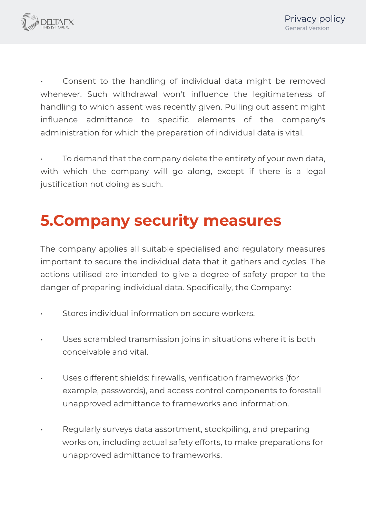

Consent to the handling of individual data might be removed whenever. Such withdrawal won't influence the legitimateness of handling to which assent was recently given. Pulling out assent might influence admittance to specific elements of the company's administration for which the preparation of individual data is vital.

• To demand that the company delete the entirety of your own data, with which the company will go along, except if there is a legal justification not doing as such.

# **5.Company security measures**

The company applies all suitable specialised and regulatory measures important to secure the individual data that it gathers and cycles. The actions utilised are intended to give a degree of safety proper to the danger of preparing individual data. Specifically, the Company:

- Stores individual information on secure workers.
- Uses scrambled transmission joins in situations where it is both conceivable and vital.
- Uses different shields: firewalls, verification frameworks (for example, passwords), and access control components to forestall unapproved admittance to frameworks and information.
- Regularly surveys data assortment, stockpiling, and preparing works on, including actual safety efforts, to make preparations for unapproved admittance to frameworks.